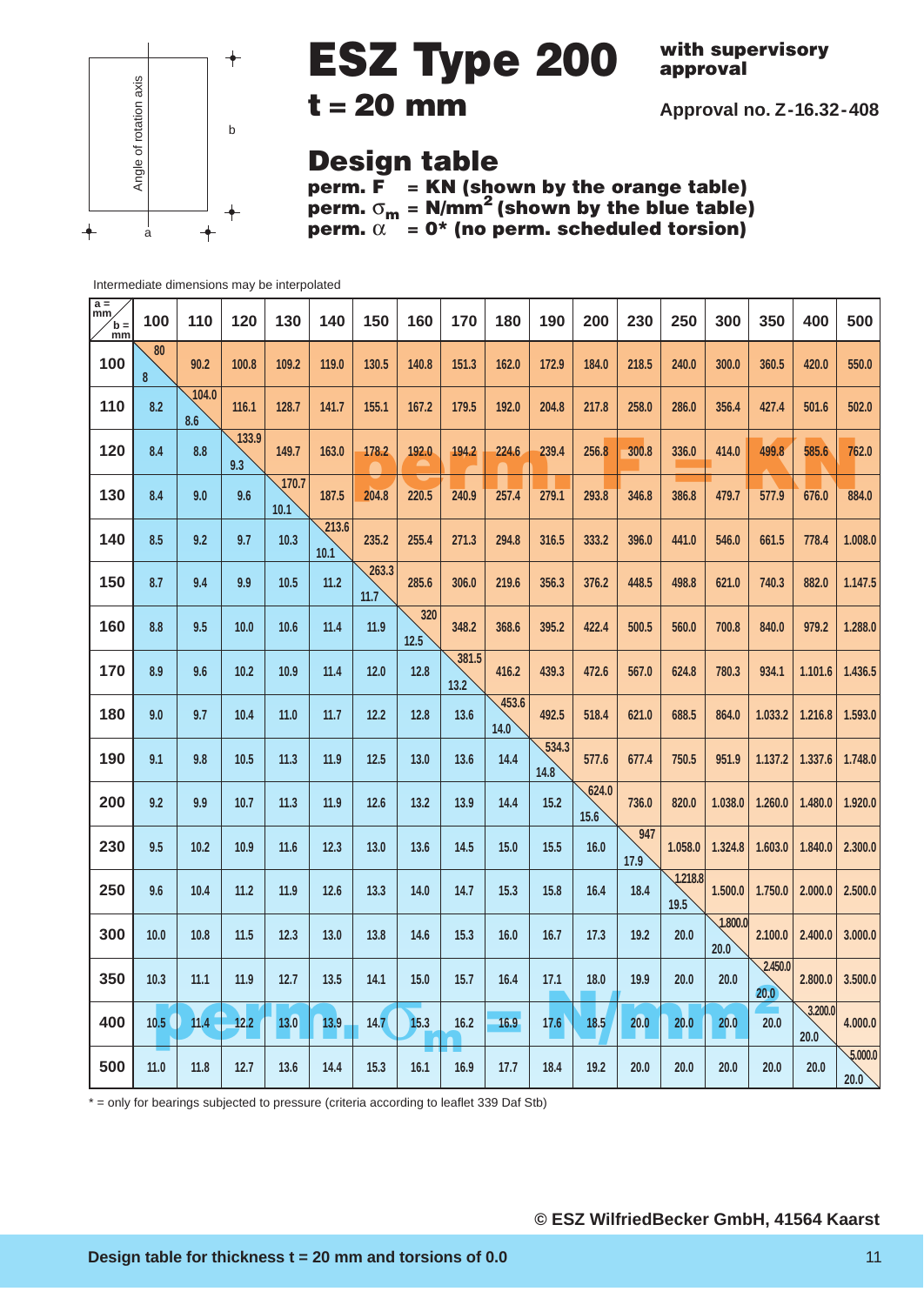

## **ESZ Type 200**

**with supervisory approval**

**Approval no. Z-16.32-408**

### **t = 20 mm**

### **Design table**

**perm. F = KN (shown by the orange table) perm.** σ**<sup>m</sup> = N/mm2 (shown by the blue table) perm.**  $\alpha$  = 0\* (no perm. scheduled torsion)

Intermediate dimensions may be interpolated

| $\frac{a}{mm}$<br>$\mathbf{b} =$<br>mm | 100     | 110          | 120          | 130           | 140           | 150           | 160         | 170           | 180           | 190           | 200           | 230         | 250             | 300             | 350             | 400             | 500                         |
|----------------------------------------|---------|--------------|--------------|---------------|---------------|---------------|-------------|---------------|---------------|---------------|---------------|-------------|-----------------|-----------------|-----------------|-----------------|-----------------------------|
| 100                                    | 80<br>8 | 90.2         | 100.8        | 109.2         | 119.0         | 130.5         | 140.8       | 151.3         | 162.0         | 172.9         | 184.0         | 218.5       | 240.0           | 300.0           | 360.5           | 420.0           | 550.0                       |
| 110                                    | 8.2     | 104.0<br>8.6 | 116.1        | 128.7         | 141.7         | 155.1         | 167.2       | 179.5         | 192.0         | 204.8         | 217.8         | 258.0       | 286.0           | 356.4           | 427.4           | 501.6           | 502.0                       |
| 120                                    | 8.4     | 8.8          | 133.9<br>9.3 | 149.7         | 163.0         | 178.2         | 192.0       | 194.2         | 224.6         | 239.4         | 256.8         | 300.8       | 336.0           | 414.0           | 499.8           | 585.6           | 762.0                       |
| 130                                    | 8.4     | 9.0          | 9.6          | 170.7<br>10.1 | 187.5         | 204.8         | 220.5       | 240.9         | 257.4         | 279.1         | 293.8         | 346.8       | 386.8           | 479.7           | 577.9           | 676.0           | 884.0                       |
| 140                                    | 8.5     | 9.2          | 9.7          | 10.3          | 213.6<br>10.1 | 235.2         | 255.4       | 271.3         | 294.8         | 316.5         | 333.2         | 396.0       | 441.0           | 546.0           | 661.5           | 778.4           | 1.008.0                     |
| 150                                    | 8.7     | 9.4          | 9.9          | 10.5          | 11.2          | 263.3<br>11.7 | 285.6       | 306.0         | 219.6         | 356.3         | 376.2         | 448.5       | 498.8           | 621.0           | 740.3           | 882.0           | 1.147.5                     |
| 160                                    | 8.8     | 9.5          | 10.0         | 10.6          | 11.4          | 11.9          | 320<br>12.5 | 348.2         | 368.6         | 395.2         | 422.4         | 500.5       | 560.0           | 700.8           | 840.0           | 979.2           | 1.288.0                     |
| 170                                    | 8.9     | 9.6          | 10.2         | 10.9          | 11.4          | 12.0          | 12.8        | 381.5<br>13.2 | 416.2         | 439.3         | 472.6         | 567.0       | 624.8           | 780.3           | 934.1           | 1.101.6         | 1.436.5                     |
| 180                                    | 9.0     | 9.7          | 10.4         | 11.0          | 11.7          | 12.2          | 12.8        | 13.6          | 453.6<br>14.0 | 492.5         | 518.4         | 621.0       | 688.5           | 864.0           | 1.033.2         | 1.216.8         | 1.593.0                     |
| 190                                    | 9.1     | 9.8          | 10.5         | 11.3          | 11.9          | 12.5          | 13.0        | 13.6          | 14.4          | 534.3<br>14.8 | 577.6         | 677.4       | 750.5           | 951.9           | 1.137.2         | 1.337.6         | 1.748.0                     |
| 200                                    | 9.2     | 9.9          | 10.7         | 11.3          | 11.9          | 12.6          | 13.2        | 13.9          | 14.4          | 15.2          | 624.0<br>15.6 | 736.0       | 820.0           | 1.038.0         | 1.260.0         | 1.480.0         | 1.920.0                     |
| 230                                    | 9.5     | 10.2         | 10.9         | 11.6          | 12.3          | 13.0          | 13.6        | 14.5          | 15.0          | 15.5          | 16.0          | 947<br>17.9 | 1.058.0         | 1.324.8         | 1.603.0         | 1.840.0         | 2.300.0                     |
| 250                                    | 9.6     | 10.4         | 11.2         | 11.9          | 12.6          | 13.3          | 14.0        | 14.7          | 15.3          | 15.8          | 16.4          | 18.4        | 1.218.8<br>19.5 | 1.500.0         | 1.750.0         | 2.000.0         | 2.500.0                     |
| 300                                    | 10.0    | 10.8         | 11.5         | 12.3          | 13.0          | 13.8          | 14.6        | 15.3          | 16.0          | 16.7          | 17.3          | 19.2        | 20.0            | 1.800.0<br>20.0 | 2.100.0         | 2.400.0         | 3.000.0                     |
| 350                                    | 10.3    | 11.1         | 11.9         | 12.7          | 13.5          | 14.1          | 15.0        | 15.7          | 16.4          | 17.1          | 18.0          | 19.9        | 20.0            | 20.0            | 2.450.0<br>20.0 | 2.800.0         | 3.500.0                     |
| 400                                    | 10.5    | $11.4 -$     | $-12.2$      | $13.0$        | 13.9          | 14.7          | 15.3        | 16.2<br>n     | 16.9          | 17.6          | 18.5          | 20.0        | 20.0            | 20.0            | 20.0            | 3.200.0<br>20.0 | 4.000.0                     |
| 500                                    | $11.0$  | 11.8         | 12.7         | 13.6          | 14.4          | 15.3          | 16.1        | 16.9          | 17.7          | 18.4          | 19.2          | 20.0        | 20.0            | 20.0            | 20.0            | 20.0            | $\frac{1}{2.000.0}$<br>20.0 |

\* = only for bearings subjected to pressure (criteria according to leaflet 339 Daf Stb)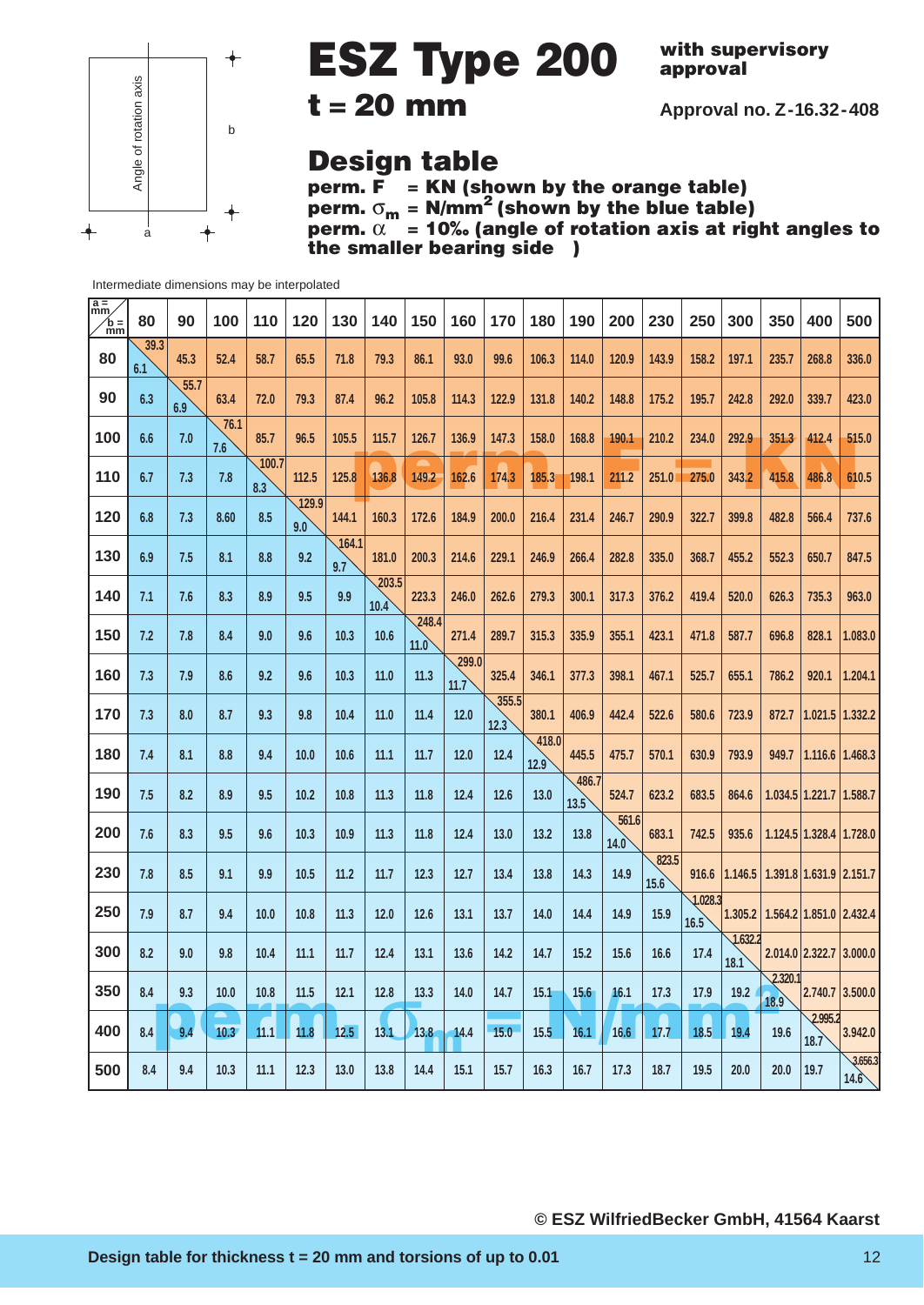

### **ESZ Type 200 t = 20 mm**

**with supervisory approval**

**Approval no. Z-16.32-408**

### **Design table**

**perm. F = KN (shown by the orange table) perm.** σ**<sup>m</sup> = N/mm2 (shown by the blue table) perm.** α **= 10‰ (angle of rotation axis at right angles to** *the smaller bearing side* )

| $\frac{a}{mm}$<br>$\ln \frac{1}{m}$ | 80          | 90          | 100         | 110          | 120          | 130          | 140           | 150           | 160           | 170           | 180           | 190           | 200           | 230           | 250             | 300             | 350             | 400                     | 500             |
|-------------------------------------|-------------|-------------|-------------|--------------|--------------|--------------|---------------|---------------|---------------|---------------|---------------|---------------|---------------|---------------|-----------------|-----------------|-----------------|-------------------------|-----------------|
| 80                                  | 39.3<br>6.1 | 45.3        | 52.4        | 58.7         | 65.5         | 71.8         | 79.3          | 86.1          | 93.0          | 99.6          | 106.3         | 114.0         | 120.9         | 143.9         | 158.2           | 197.1           | 235.7           | 268.8                   | 336.0           |
| 90                                  | 6.3         | 55.7<br>6.9 | 63.4        | 72.0         | 79.3         | 87.4         | 96.2          | 105.8         | 114.3         | 122.9         | 131.8         | 140.2         | 148.8         | 175.2         | 195.7           | 242.8           | 292.0           | 339.7                   | 423.0           |
| 100                                 | 6.6         | 7.0         | 76.1<br>7.6 | 85.7         | 96.5         | 105.5        | 115.7         | 126.7         | 136.9         | 147.3         | 158.0         | 168.8         | 190.1         | 210.2         | 234.0           | 292.9           | 351.3           | 412.4                   | 515.0           |
| 110                                 | 6.7         | 7.3         | 7.8         | 100.7<br>8.3 | 112.5        | 125.8        | 136.8         | 149.2         | 162.6         | 174.3         | 185.3         | 198.1         | 211.2         | 251.0         | 275.0           | 343.2           | 415.8           | 486.8                   | 610.5           |
| 120                                 | 6.8         | 7.3         | 8.60        | 8.5          | 129.9<br>9.0 | 144.1        | 160.3         | 172.6         | 184.9         | 200.0         | 216.4         | 231.4         | 246.7         | 290.9         | 322.7           | 399.8           | 482.8           | 566.4                   | 737.6           |
| 130                                 | 6.9         | 7.5         | 8.1         | 8.8          | 9.2          | 164.1<br>9.7 | 181.0         | 200.3         | 214.6         | 229.1         | 246.9         | 266.4         | 282.8         | 335.0         | 368.7           | 455.2           | 552.3           | 650.7                   | 847.5           |
| 140                                 | 7.1         | 7.6         | 8.3         | 8.9          | 9.5          | 9.9          | 203.5<br>10.4 | 223.3         | 246.0         | 262.6         | 279.3         | 300.1         | 317.3         | 376.2         | 419.4           | 520.0           | 626.3           | 735.3                   | 963.0           |
| 150                                 | 7.2         | 7.8         | 8.4         | 9.0          | 9.6          | 10.3         | 10.6          | 248.4<br>11.0 | 271.4         | 289.7         | 315.3         | 335.9         | 355.1         | 423.1         | 471.8           | 587.7           | 696.8           | 828.1                   | 1.083.0         |
| 160                                 | 7.3         | 7.9         | 8.6         | 9.2          | 9.6          | 10.3         | 11.0          | 11.3          | 299.0<br>11.7 | 325.4         | 346.1         | 377.3         | 398.1         | 467.1         | 525.7           | 655.1           | 786.2           | 920.1                   | 1.204.1         |
| 170                                 | 7.3         | 8.0         | 8.7         | 9.3          | 9.8          | 10.4         | 11.0          | 11.4          | 12.0          | 355.5<br>12.3 | 380.1         | 406.9         | 442.4         | 522.6         | 580.6           | 723.9           | 872.7           | 1.021.5                 | 1.332.2         |
| 180                                 | 7.4         | 8.1         | 8.8         | 9.4          | 10.0         | 10.6         | 11.1          | 11.7          | 12.0          | 12.4          | 418.0<br>12.9 | 445.5         | 475.7         | 570.1         | 630.9           | 793.9           | 949.7           | 1.116.6                 | 1.468.3         |
| 190                                 | 7.5         | 8.2         | 8.9         | 9.5          | 10.2         | 10.8         | 11.3          | 11.8          | 12.4          | 12.6          | 13.0          | 486.7<br>13.5 | 524.7         | 623.2         | 683.5           | 864.6           |                 | $1.034.5$   1.221.7     | 1.588.7         |
| 200                                 | 7.6         | 8.3         | 9.5         | 9.6          | 10.3         | 10.9         | 11.3          | 11.8          | 12.4          | 13.0          | 13.2          | 13.8          | 561.6<br>14.0 | 683.1         | 742.5           | 935.6           |                 | 1.124.5 1.328.4 1.728.0 |                 |
| 230                                 | 7.8         | 8.5         | 9.1         | 9.9          | 10.5         | 11.2         | 11.7          | 12.3          | 12.7          | 13.4          | 13.8          | 14.3          | 14.9          | 823.5<br>15.6 | 916.6           | 1.146.5         |                 | 1.391.8 1.631.9 2.151.7 |                 |
| 250                                 | 7.9         | 8.7         | 9.4         | 10.0         | 10.8         | 11.3         | 12.0          | 12.6          | 13.1          | 13.7          | 14.0          | 14.4          | 14.9          | 15.9          | 1.028.3<br>16.5 | 1.305.2         |                 | 1.564.2 1.851.0 2.432.4 |                 |
| 300                                 | 8.2         | 9.0         | 9.8         | 10.4         | 11.1         | 11.7         | 12.4          | 13.1          | 13.6          | 14.2          | 14.7          | 15.2          | 15.6          | 16.6          | 17.4            | 1.632.2<br>18.1 |                 | 2.014.0 2.322.7         | 3.000.0         |
| 350                                 | 8.4         | 9.3         | 10.0        | 10.8         | 11.5         | 12.1         | 12.8          | 13.3          | 14.0          | 14.7          | 15.1          | 15.6          | 16.1          | 17.3          | 17.9            | 19.2            | 2.320.1<br>18.9 | 2.740.7                 | 3.500.0         |
| 400                                 | 8.4         | 9.4         | 10.3        | 11.1         | 11.8         | 12.5         | 13.1          | 13.8          | 14.4          | 15.0          | 15.5          | 16.1          | 16.6          | 17.7          | 18.5            | 19.4            | 19.6            | 2.995.2<br>18.7         | 3.942.0         |
| 500                                 | 8.4         | 9.4         | 10.3        | 11.1         | 12.3         | 13.0         | 13.8          | 14.4          | 15.1          | 15.7          | 16.3          | 16.7          | 17.3          | 18.7          | 19.5            | 20.0            | 20.0            | 19.7                    | 3.656.3<br>14.6 |

Intermediate dimensions may be interpolated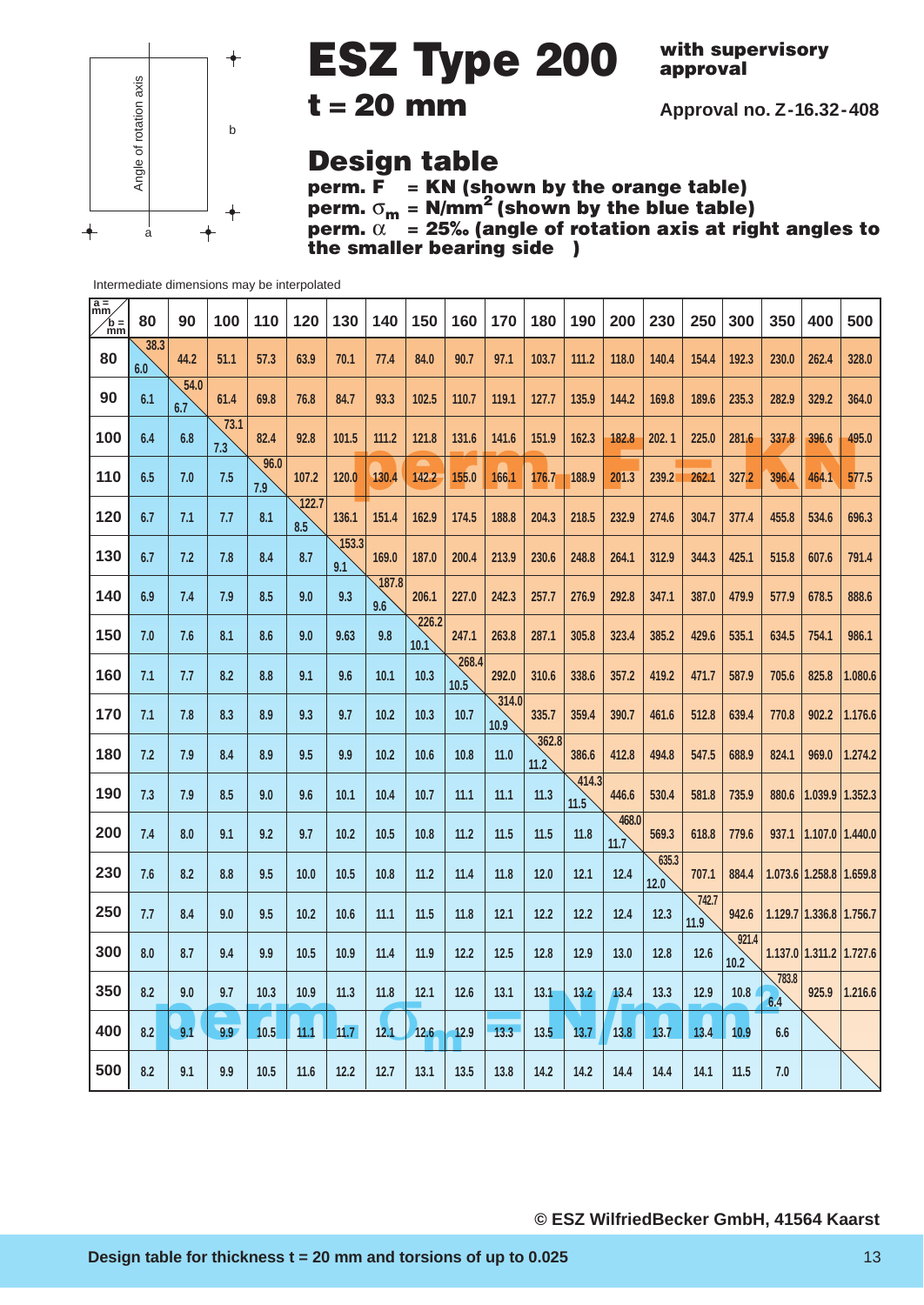

# **ESZ Type 200**

**with supervisory approval**

**Approval no. Z-16.32-408**

### **t = 20 mm**

### **Design table**

**perm. F = KN (shown by the orange table) perm.** σ**<sup>m</sup> = N/mm2 (shown by the blue table) perm.** α **= 25‰ (angle of rotation axis at right angles to the smaller bearing side** )

| 80          | 90          | 100  | 110  | 120   | 130          | 140          | 150           | 160   | 170   | 180    | 190   | 200    | 230           | 250   | 300           | 350   | 400                 | 500                                                                                                    |
|-------------|-------------|------|------|-------|--------------|--------------|---------------|-------|-------|--------|-------|--------|---------------|-------|---------------|-------|---------------------|--------------------------------------------------------------------------------------------------------|
| 38.3<br>6.0 | 44.2        | 51.1 | 57.3 | 63.9  | 70.1         | 77.4         | 84.0          | 90.7  | 97.1  | 103.7  | 111.2 | 118.0  | 140.4         | 154.4 | 192.3         | 230.0 | 262.4               | 328.0                                                                                                  |
| 6.1         | 54.0<br>6.7 | 61.4 | 69.8 | 76.8  | 84.7         | 93.3         | 102.5         | 110.7 | 119.1 | 127.7  | 135.9 | 144.2  | 169.8         | 189.6 | 235.3         | 282.9 | 329.2               | 364.0                                                                                                  |
| 6.4         | 6.8         | 73.1 | 82.4 | 92.8  | 101.5        | 111.2        | 121.8         | 131.6 | 141.6 | 151.9  | 162.3 | 182.8  | 202.1         | 225.0 | 281.6         | 337.8 | 396.6               | 495.0                                                                                                  |
| 6.5         | 7.0         | 7.5  | 96.0 | 107.2 | 120.0        | 130.4        | 142.2         | 155.0 | 166.1 | 176.7  | 188.9 | 201.3  | 239.2         | 262.1 | 327.2         | 396.4 | 464.1               | 577.5                                                                                                  |
| 6.7         | 7.1         | 7.7  | 8.1  | 122.7 | 136.1        | 151.4        | 162.9         | 174.5 | 188.8 | 204.3  | 218.5 | 232.9  | 274.6         | 304.7 | 377.4         | 455.8 | 534.6               | 696.3                                                                                                  |
| 6.7         | 7.2         | 7.8  | 8.4  | 8.7   | 153.3<br>9.1 | 169.0        | 187.0         | 200.4 | 213.9 | 230.6  | 248.8 | 264.1  | 312.9         | 344.3 | 425.1         | 515.8 | 607.6               | 791.4                                                                                                  |
| 6.9         | 7.4         | 7.9  | 8.5  | 9.0   | 9.3          | 187.8<br>9.6 | 206.1         | 227.0 | 242.3 | 257.7  | 276.9 | 292.8  | 347.1         | 387.0 | 479.9         | 577.9 | 678.5               | 888.6                                                                                                  |
| 7.0         | 7.6         | 8.1  | 8.6  | 9.0   | 9.63         | 9.8          | 226.2<br>10.1 | 247.1 | 263.8 | 287.1  | 305.8 | 323.4  | 385.2         | 429.6 | 535.1         | 634.5 | 754.1               | 986.1                                                                                                  |
| 7.1         | 7.7         | 8.2  | 8.8  | 9.1   | 9.6          | 10.1         | 10.3          | 268.4 | 292.0 | 310.6  | 338.6 | 357.2  | 419.2         | 471.7 | 587.9         | 705.6 | 825.8               | 1.080.6                                                                                                |
| 7.1         | 7.8         | 8.3  | 8.9  | 9.3   | 9.7          | 10.2         | 10.3          | 10.7  | 314.0 | 335.7  | 359.4 | 390.7  | 461.6         | 512.8 | 639.4         | 770.8 | 902.2               | 1.176.6                                                                                                |
| 7.2         | 7.9         | 8.4  | 8.9  | 9.5   | 9.9          | 10.2         | 10.6          | 10.8  | 11.0  |        | 386.6 | 412.8  | 494.8         | 547.5 | 688.9         | 824.1 | 969.0               | 1.274.2                                                                                                |
| 7.3         | 7.9         | 8.5  | 9.0  | 9.6   | 10.1         | 10.4         | 10.7          | 11.1  | 11.1  | 11.3   | 11.5  | 446.6  | 530.4         | 581.8 | 735.9         | 880.6 | $1.039.9$   1.352.3 |                                                                                                        |
| 7.4         | 8.0         | 9.1  | 9.2  | 9.7   | 10.2         | 10.5         | 10.8          | 11.2  | 11.5  | 11.5   | 11.8  | 468.0  | 569.3         | 618.8 | 779.6         |       |                     |                                                                                                        |
| 7.6         | 8.2         | 8.8  | 9.5  | 10.0  | 10.5         | 10.8         | 11.2          | 11.4  | 11.8  | 12.0   | 12.1  | $12.4$ | 635.3         | 707.1 | 884.4         |       |                     |                                                                                                        |
| 7.7         | 8.4         | 9.0  | 9.5  | 10.2  | 10.6         | 11.1         | 11.5          | 11.8  | 12.1  | 12.2   | 12.2  | 12.4   | 12.3          | 742.7 | 942.6         |       |                     |                                                                                                        |
| 8.0         | 8.7         | 9.4  | 9.9  | 10.5  | 10.9         | 11.4         | 11.9          | 12.2  | 12.5  | 12.8   | 12.9  | 13.0   | 12.8          | 12.6  | 921.4<br>10.2 |       |                     |                                                                                                        |
| 8.2         | 9.0         | 9.7  | 10.3 | 10.9  | 11.3         | 11.8         | 12.1          | 12.6  | 13.1  | 13.1   | 13.2  | 13.4   | 13.3          | 12.9  | 10.8          | 783.8 | 925.9               | 1.216.6                                                                                                |
| 8.2         | 9.1         | 9.9  | 10.5 | 11.1  | 11.7         | 12.1         | 12.6          | 12.9  | 13.3  | 13.5   | 13.7  | 13.8   | 13.7          | 13.4  | 10.9          | 6.6   |                     |                                                                                                        |
| 8.2         | 9.1         | 9.9  | 10.5 | 11.6  | 12.2         | 12.7         | 13.1          | 13.5  | 13.8  | $14.2$ | 14.2  | 14.4   | 14.4          | 14.1  | 11.5          | 7.0   |                     |                                                                                                        |
|             |             |      | 7.3  | 7.9   | 8.5          |              |               |       | 10.5  | 10.9   | 11.2  | 362.8  | 414.3<br>11.7 | 12.0  | 11.9          |       | 6.4                 | 937.1 1.107.0 1.440.0<br>1.073.6 1.258.8 1.659.8<br>1.129.7 1.336.8 1.756.7<br>1.137.0 1.311.2 1.727.6 |

Intermediate dimensions may be interpolated